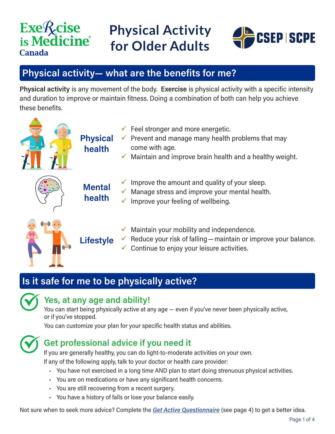## **Exe***R*<sub>cise</sub> is Medicine<sup>®</sup> **Canada**

## **Physical Activity for Older Adults**



## **Physical activity— what are the benefits for me?**

**Physical activity** is any movement of the body. **Exercise** is physical activity with a specific intensity and duration to improve or maintain fitness. Doing a combination of both can help you achieve these benefits.

| <b>Physical</b><br>health | $\checkmark$ Feel stronger and more energetic.<br>Prevent and manage many health problems that may<br>come with age.<br>Maintain and improve brain health and a healthy weight. |
|---------------------------|---------------------------------------------------------------------------------------------------------------------------------------------------------------------------------|
| <b>Mental</b><br>health   | Improve the amount and quality of your sleep.<br>Manage stress and improve your mental health.<br>Improve your feeling of wellbeing.                                            |
| <b>Lifestyle</b>          | Maintain your mobility and independence.<br>Reduce your risk of falling - maintain or improve your balance.<br>Continue to enjoy your leisure activities.                       |

## **Is it safe for me to be physically active?**



#### **Yes, at any age and ability!**

You can start being physically active at any age — even if you've never been physically active, or if you've stopped.

You can customize your plan for your specific health status and abilities.



### **Get professional advice if you need it**

If you are generally healthy, you can do light-to-moderate activities on your own. If any of the following apply, talk to your doctor or health care provider:

- You have not exercised in a long time AND plan to start doing strenuous physical activities.
- You are on medications or have any significant health concerns.
- You are still recovering from a recent surgery.
- You have a history of falls or lose your balance easily.

Not sure when to seek more advice? Complete the *[Get Active Questionnaire](https://store.csep.ca/pages/getactivequestionnaire)* (see page 4) to get a better idea.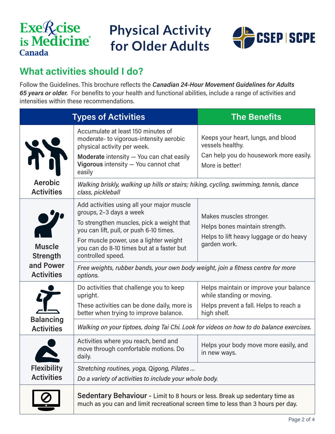# **Exe***Acise* is Medicine<sup>®</sup> **Canada**



## **What activities should I do?**

Follow the Guidelines. This brochure reflects the *Canadian 24-Hour Movement Guidelines for Adults 65 years or older.* For benefits to your health and functional abilities, include a range of activities and intensities within these recommendations.

| <b>Types of Activities</b>                                              |                                                                                                                                                                                                                                                                           | <b>The Benefits</b>                                                                                                          |  |  |  |
|-------------------------------------------------------------------------|---------------------------------------------------------------------------------------------------------------------------------------------------------------------------------------------------------------------------------------------------------------------------|------------------------------------------------------------------------------------------------------------------------------|--|--|--|
| A;                                                                      | Accumulate at least 150 minutes of<br>moderate-to vigorous-intensity aerobic<br>physical activity per week.<br>Moderate intensity - You can chat easily<br>Vigorous intensity - You cannot chat<br>easily                                                                 | Keeps your heart, lungs, and blood<br>vessels healthy.<br>Can help you do housework more easily.<br>More is better!          |  |  |  |
| Aerobic<br><b>Activities</b>                                            | Walking briskly, walking up hills or stairs; hiking, cycling, swimming, tennis, dance<br>class, pickleball                                                                                                                                                                |                                                                                                                              |  |  |  |
| 2<br><b>Muscle</b><br><b>Strength</b><br>and Power<br><b>Activities</b> | Add activities using all your major muscle<br>groups, 2-3 days a week<br>To strengthen muscles, pick a weight that<br>you can lift, pull, or push 6-10 times.<br>For muscle power, use a lighter weight<br>you can do 8-10 times but at a faster but<br>controlled speed. | Makes muscles stronger.<br>Helps bones maintain strength.<br>Helps to lift heavy luggage or do heavy<br>garden work.         |  |  |  |
|                                                                         | Free weights, rubber bands, your own body weight, join a fitness centre for more<br>options.                                                                                                                                                                              |                                                                                                                              |  |  |  |
| <b>Balancing</b><br><b>Activities</b>                                   | Do activities that challenge you to keep<br>upright.<br>These activities can be done daily, more is<br>better when trying to improve balance.                                                                                                                             | Helps maintain or improve your balance<br>while standing or moving.<br>Helps prevent a fall. Helps to reach a<br>high shelf. |  |  |  |
|                                                                         | Walking on your tiptoes, doing Tai Chi. Look for videos on how to do balance exercises.                                                                                                                                                                                   |                                                                                                                              |  |  |  |
| <b>Flexibility</b><br><b>Activities</b>                                 | Activities where you reach, bend and<br>move through comfortable motions. Do<br>daily.                                                                                                                                                                                    | Helps your body move more easily, and<br>in new ways.                                                                        |  |  |  |
|                                                                         | Stretching routines, yoga, Qigong, Pilates<br>Do a variety of activities to include your whole body.                                                                                                                                                                      |                                                                                                                              |  |  |  |
|                                                                         | Sedentary Behaviour - Limit to 8 hours or less. Break up sedentary time as<br>much as you can and limit recreational screen time to less than 3 hours per day.                                                                                                            |                                                                                                                              |  |  |  |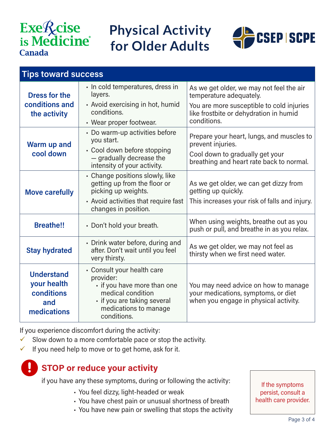# **Exe***Acise* is Medicine<sup>®</sup> **Canada**

## **Physical Activity for Older Adults**



| <b>Tips toward success</b>                                           |                                                                                                                                                                    |                                                                                                                      |  |  |
|----------------------------------------------------------------------|--------------------------------------------------------------------------------------------------------------------------------------------------------------------|----------------------------------------------------------------------------------------------------------------------|--|--|
| <b>Dress for the</b>                                                 | · In cold temperatures, dress in<br>layers.                                                                                                                        | As we get older, we may not feel the air<br>temperature adequately.                                                  |  |  |
| conditions and<br>the activity                                       | • Avoid exercising in hot, humid<br>conditions.                                                                                                                    | You are more susceptible to cold injuries<br>like frostbite or dehydration in humid                                  |  |  |
|                                                                      | • Wear proper footwear.                                                                                                                                            | conditions.                                                                                                          |  |  |
| Warm up and<br>cool down                                             | • Do warm-up activities before<br>you start.                                                                                                                       | Prepare your heart, lungs, and muscles to<br>prevent injuries.                                                       |  |  |
|                                                                      | • Cool down before stopping<br>- gradually decrease the<br>intensity of your activity.                                                                             | Cool down to gradually get your<br>breathing and heart rate back to normal.                                          |  |  |
| <b>Move carefully</b>                                                | • Change positions slowly, like<br>getting up from the floor or<br>picking up weights.                                                                             | As we get older, we can get dizzy from<br>getting up quickly.                                                        |  |  |
|                                                                      | • Avoid activities that require fast<br>changes in position.                                                                                                       | This increases your risk of falls and injury.                                                                        |  |  |
| <b>Breathe!!</b>                                                     | • Don't hold your breath.                                                                                                                                          | When using weights, breathe out as you<br>push or pull, and breathe in as you relax.                                 |  |  |
| <b>Stay hydrated</b>                                                 | • Drink water before, during and<br>after. Don't wait until you feel<br>very thirsty.                                                                              | As we get older, we may not feel as<br>thirsty when we first need water.                                             |  |  |
| <b>Understand</b><br>your health<br>conditions<br>and<br>medications | • Consult your health care<br>provider:<br>· if you have more than one<br>medical condition<br>- if you are taking several<br>medications to manage<br>conditions. | You may need advice on how to manage<br>your medications, symptoms, or diet<br>when you engage in physical activity. |  |  |

If you experience discomfort during the activity:

 $\checkmark$  Slow down to a more comfortable pace or stop the activity.

If you need help to move or to get home, ask for it.

### **STOP or reduce your activity**

if you have any these symptoms, during or following the activity:

- You feel dizzy, light-headed or weak
- You have chest pain or unusual shortness of breath
- You have new pain or swelling that stops the activity

If the symptoms persist, consult a health care provider.